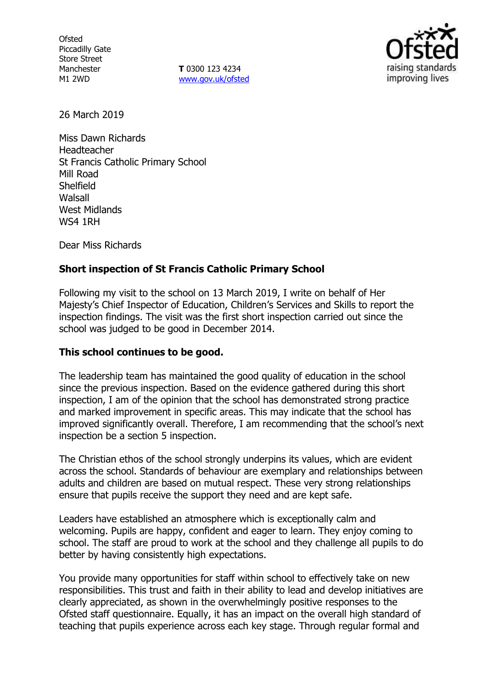**Ofsted** Piccadilly Gate Store Street Manchester M1 2WD

**T** 0300 123 4234 www.gov.uk/ofsted



26 March 2019

Miss Dawn Richards Headteacher St Francis Catholic Primary School Mill Road **Shelfield** Walsall West Midlands WS4 1RH

Dear Miss Richards

### **Short inspection of St Francis Catholic Primary School**

Following my visit to the school on 13 March 2019, I write on behalf of Her Majesty's Chief Inspector of Education, Children's Services and Skills to report the inspection findings. The visit was the first short inspection carried out since the school was judged to be good in December 2014.

### **This school continues to be good.**

The leadership team has maintained the good quality of education in the school since the previous inspection. Based on the evidence gathered during this short inspection, I am of the opinion that the school has demonstrated strong practice and marked improvement in specific areas. This may indicate that the school has improved significantly overall. Therefore, I am recommending that the school's next inspection be a section 5 inspection.

The Christian ethos of the school strongly underpins its values, which are evident across the school. Standards of behaviour are exemplary and relationships between adults and children are based on mutual respect. These very strong relationships ensure that pupils receive the support they need and are kept safe.

Leaders have established an atmosphere which is exceptionally calm and welcoming. Pupils are happy, confident and eager to learn. They enjoy coming to school. The staff are proud to work at the school and they challenge all pupils to do better by having consistently high expectations.

You provide many opportunities for staff within school to effectively take on new responsibilities. This trust and faith in their ability to lead and develop initiatives are clearly appreciated, as shown in the overwhelmingly positive responses to the Ofsted staff questionnaire. Equally, it has an impact on the overall high standard of teaching that pupils experience across each key stage. Through regular formal and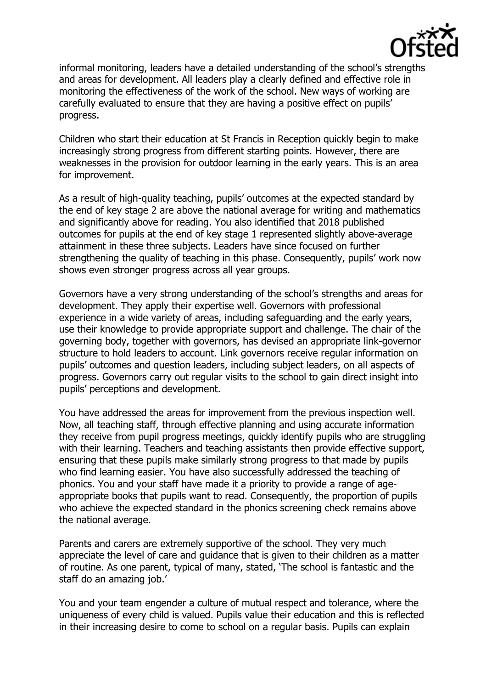

informal monitoring, leaders have a detailed understanding of the school's strengths and areas for development. All leaders play a clearly defined and effective role in monitoring the effectiveness of the work of the school. New ways of working are carefully evaluated to ensure that they are having a positive effect on pupils' progress.

Children who start their education at St Francis in Reception quickly begin to make increasingly strong progress from different starting points. However, there are weaknesses in the provision for outdoor learning in the early years. This is an area for improvement.

As a result of high-quality teaching, pupils' outcomes at the expected standard by the end of key stage 2 are above the national average for writing and mathematics and significantly above for reading. You also identified that 2018 published outcomes for pupils at the end of key stage 1 represented slightly above-average attainment in these three subjects. Leaders have since focused on further strengthening the quality of teaching in this phase. Consequently, pupils' work now shows even stronger progress across all year groups.

Governors have a very strong understanding of the school's strengths and areas for development. They apply their expertise well. Governors with professional experience in a wide variety of areas, including safeguarding and the early years, use their knowledge to provide appropriate support and challenge. The chair of the governing body, together with governors, has devised an appropriate link-governor structure to hold leaders to account. Link governors receive regular information on pupils' outcomes and question leaders, including subject leaders, on all aspects of progress. Governors carry out regular visits to the school to gain direct insight into pupils' perceptions and development.

You have addressed the areas for improvement from the previous inspection well. Now, all teaching staff, through effective planning and using accurate information they receive from pupil progress meetings, quickly identify pupils who are struggling with their learning. Teachers and teaching assistants then provide effective support, ensuring that these pupils make similarly strong progress to that made by pupils who find learning easier. You have also successfully addressed the teaching of phonics. You and your staff have made it a priority to provide a range of ageappropriate books that pupils want to read. Consequently, the proportion of pupils who achieve the expected standard in the phonics screening check remains above the national average.

Parents and carers are extremely supportive of the school. They very much appreciate the level of care and guidance that is given to their children as a matter of routine. As one parent, typical of many, stated, 'The school is fantastic and the staff do an amazing job.'

You and your team engender a culture of mutual respect and tolerance, where the uniqueness of every child is valued. Pupils value their education and this is reflected in their increasing desire to come to school on a regular basis. Pupils can explain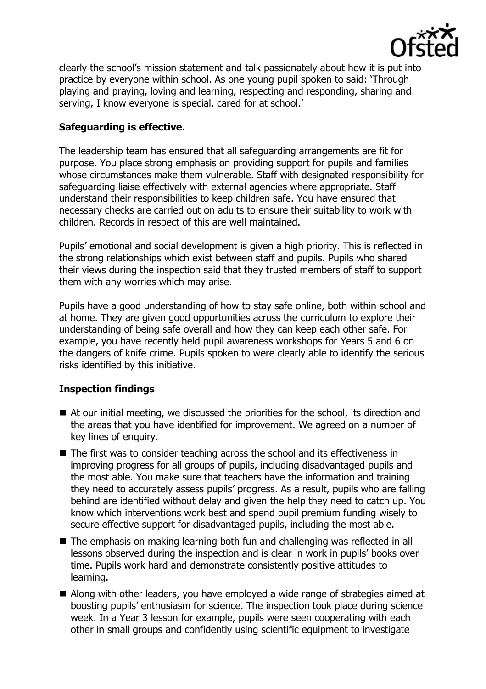

clearly the school's mission statement and talk passionately about how it is put into practice by everyone within school. As one young pupil spoken to said: 'Through playing and praying, loving and learning, respecting and responding, sharing and serving, I know everyone is special, cared for at school.'

# **Safeguarding is effective.**

The leadership team has ensured that all safeguarding arrangements are fit for purpose. You place strong emphasis on providing support for pupils and families whose circumstances make them vulnerable. Staff with designated responsibility for safeguarding liaise effectively with external agencies where appropriate. Staff understand their responsibilities to keep children safe. You have ensured that necessary checks are carried out on adults to ensure their suitability to work with children. Records in respect of this are well maintained.

Pupils' emotional and social development is given a high priority. This is reflected in the strong relationships which exist between staff and pupils. Pupils who shared their views during the inspection said that they trusted members of staff to support them with any worries which may arise.

Pupils have a good understanding of how to stay safe online, both within school and at home. They are given good opportunities across the curriculum to explore their understanding of being safe overall and how they can keep each other safe. For example, you have recently held pupil awareness workshops for Years 5 and 6 on the dangers of knife crime. Pupils spoken to were clearly able to identify the serious risks identified by this initiative.

### **Inspection findings**

- At our initial meeting, we discussed the priorities for the school, its direction and the areas that you have identified for improvement. We agreed on a number of key lines of enquiry.
- The first was to consider teaching across the school and its effectiveness in improving progress for all groups of pupils, including disadvantaged pupils and the most able. You make sure that teachers have the information and training they need to accurately assess pupils' progress. As a result, pupils who are falling behind are identified without delay and given the help they need to catch up. You know which interventions work best and spend pupil premium funding wisely to secure effective support for disadvantaged pupils, including the most able.
- The emphasis on making learning both fun and challenging was reflected in all lessons observed during the inspection and is clear in work in pupils' books over time. Pupils work hard and demonstrate consistently positive attitudes to learning.
- Along with other leaders, you have employed a wide range of strategies aimed at boosting pupils' enthusiasm for science. The inspection took place during science week. In a Year 3 lesson for example, pupils were seen cooperating with each other in small groups and confidently using scientific equipment to investigate